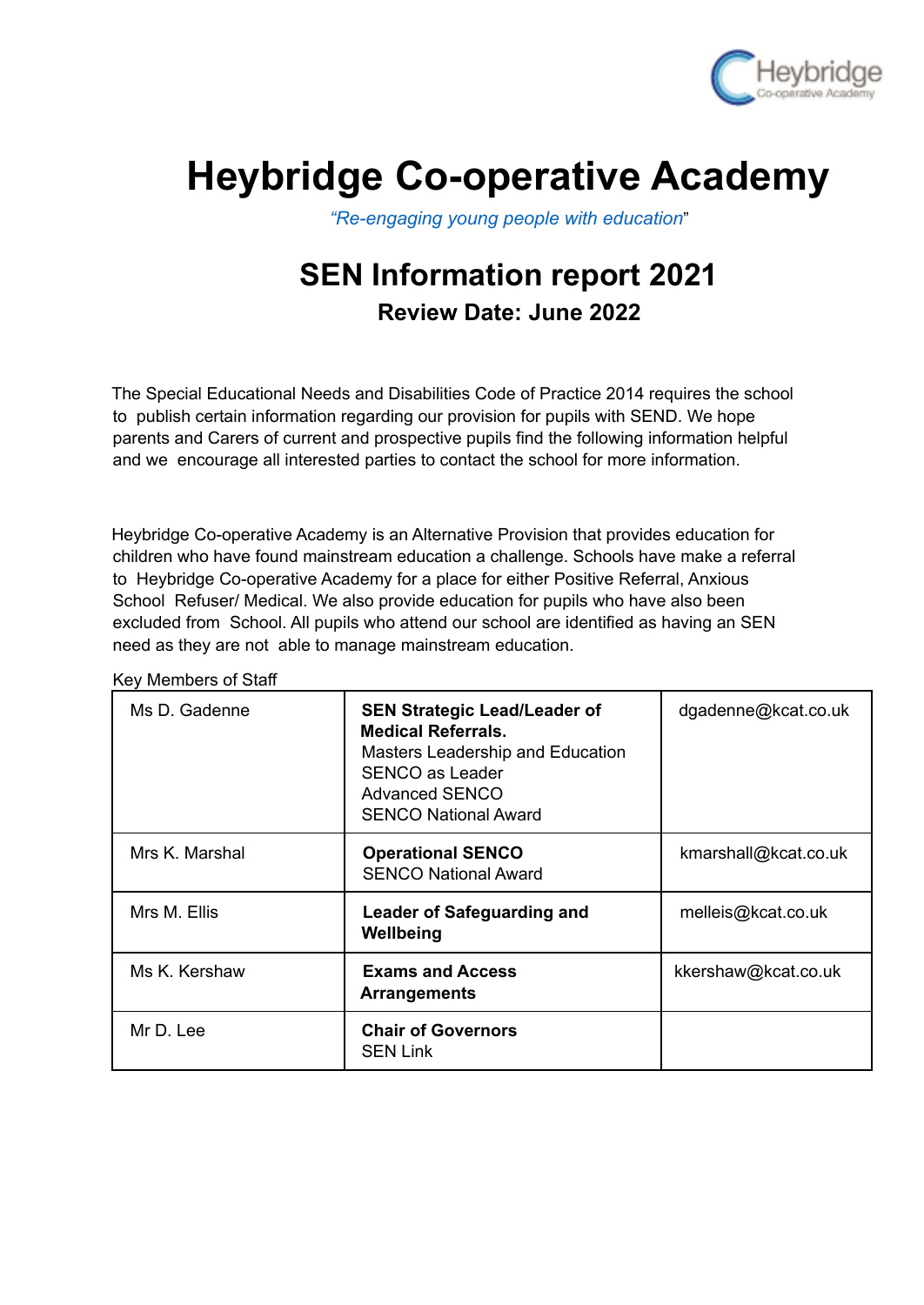

## **Heybridge Co-operative Academy**

*"Re-engaging young people with education*"

## **SEN Information report 2021 Review Date: June 2022**

The Special Educational Needs and Disabilities Code of Practice 2014 requires the school to publish certain information regarding our provision for pupils with SEND. We hope parents and Carers of current and prospective pupils find the following information helpful and we encourage all interested parties to contact the school for more information.

Heybridge Co-operative Academy is an Alternative Provision that provides education for children who have found mainstream education a challenge. Schools have make a referral to Heybridge Co-operative Academy for a place for either Positive Referral, Anxious School Refuser/ Medical. We also provide education for pupils who have also been excluded from School. All pupils who attend our school are identified as having an SEN need as they are not able to manage mainstream education.

Key Members of Staff

| Ms D. Gadenne  | <b>SEN Strategic Lead/Leader of</b><br><b>Medical Referrals.</b><br>Masters Leadership and Education<br><b>SENCO as Leader</b><br><b>Advanced SENCO</b><br><b>SENCO National Award</b> | dgadenne@kcat.co.uk  |
|----------------|----------------------------------------------------------------------------------------------------------------------------------------------------------------------------------------|----------------------|
| Mrs K. Marshal | <b>Operational SENCO</b><br><b>SENCO National Award</b>                                                                                                                                | kmarshall@kcat.co.uk |
| Mrs M. Ellis   | <b>Leader of Safeguarding and</b><br>Wellbeing                                                                                                                                         | melleis@kcat.co.uk   |
| Ms K. Kershaw  | <b>Exams and Access</b><br><b>Arrangements</b>                                                                                                                                         | kkershaw@kcat.co.uk  |
| Mr D. Lee      | <b>Chair of Governors</b><br><b>SEN Link</b>                                                                                                                                           |                      |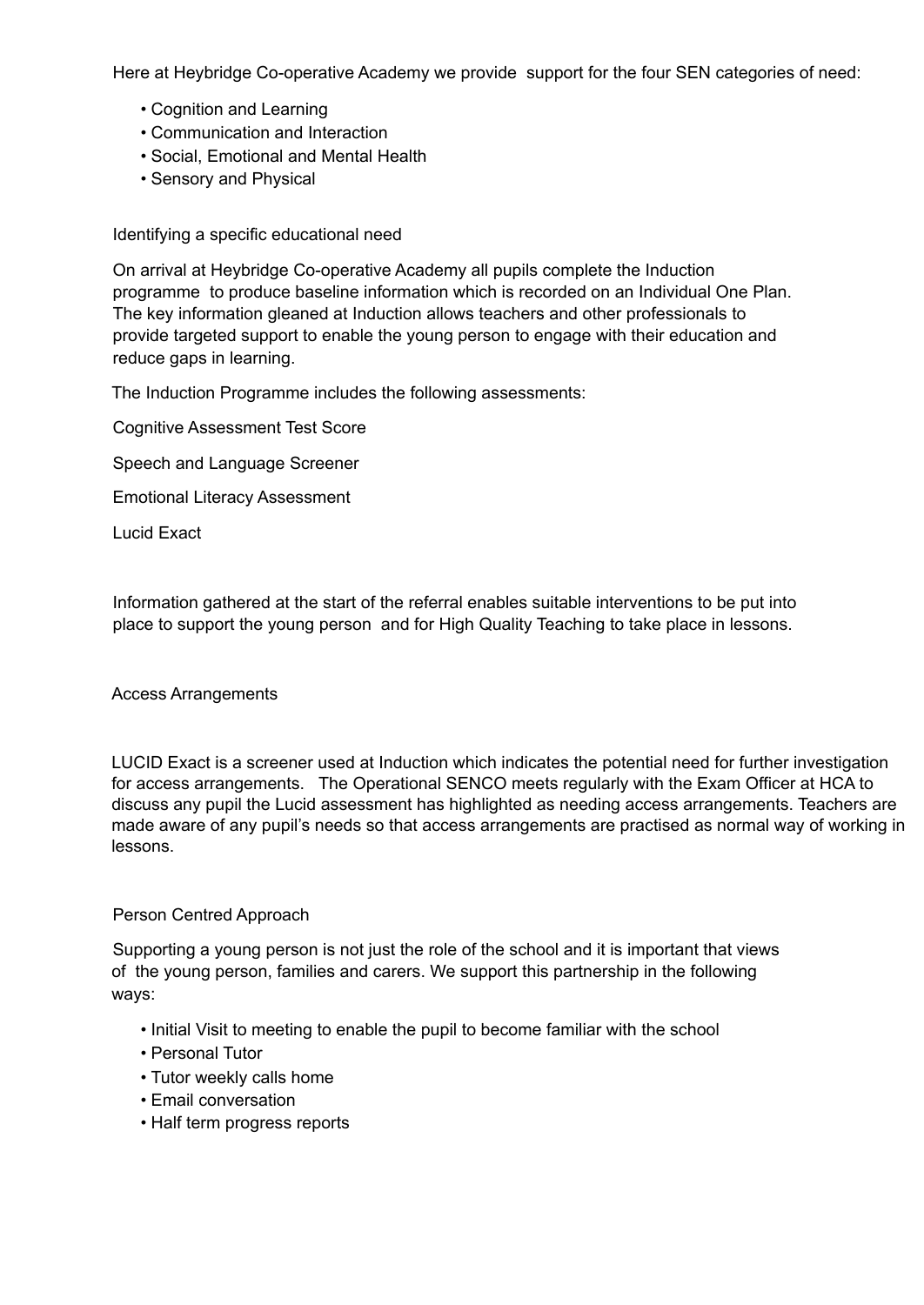Here at Heybridge Co-operative Academy we provide support for the four SEN categories of need:

- Cognition and Learning
- Communication and Interaction
- Social, Emotional and Mental Health
- Sensory and Physical

Identifying a specific educational need

On arrival at Heybridge Co-operative Academy all pupils complete the Induction programme to produce baseline information which is recorded on an Individual One Plan. The key information gleaned at Induction allows teachers and other professionals to provide targeted support to enable the young person to engage with their education and reduce gaps in learning.

The Induction Programme includes the following assessments:

Cognitive Assessment Test Score

Speech and Language Screener

Emotional Literacy Assessment

Lucid Exact

Information gathered at the start of the referral enables suitable interventions to be put into place to support the young person and for High Quality Teaching to take place in lessons.

Access Arrangements

LUCID Exact is a screener used at Induction which indicates the potential need for further investigation for access arrangements. The Operational SENCO meets regularly with the Exam Officer at HCA to discuss any pupil the Lucid assessment has highlighted as needing access arrangements. Teachers are made aware of any pupil's needs so that access arrangements are practised as normal way of working in lessons.

## Person Centred Approach

Supporting a young person is not just the role of the school and it is important that views of the young person, families and carers. We support this partnership in the following ways:

- Initial Visit to meeting to enable the pupil to become familiar with the school
- Personal Tutor
- Tutor weekly calls home
- Email conversation
- Half term progress reports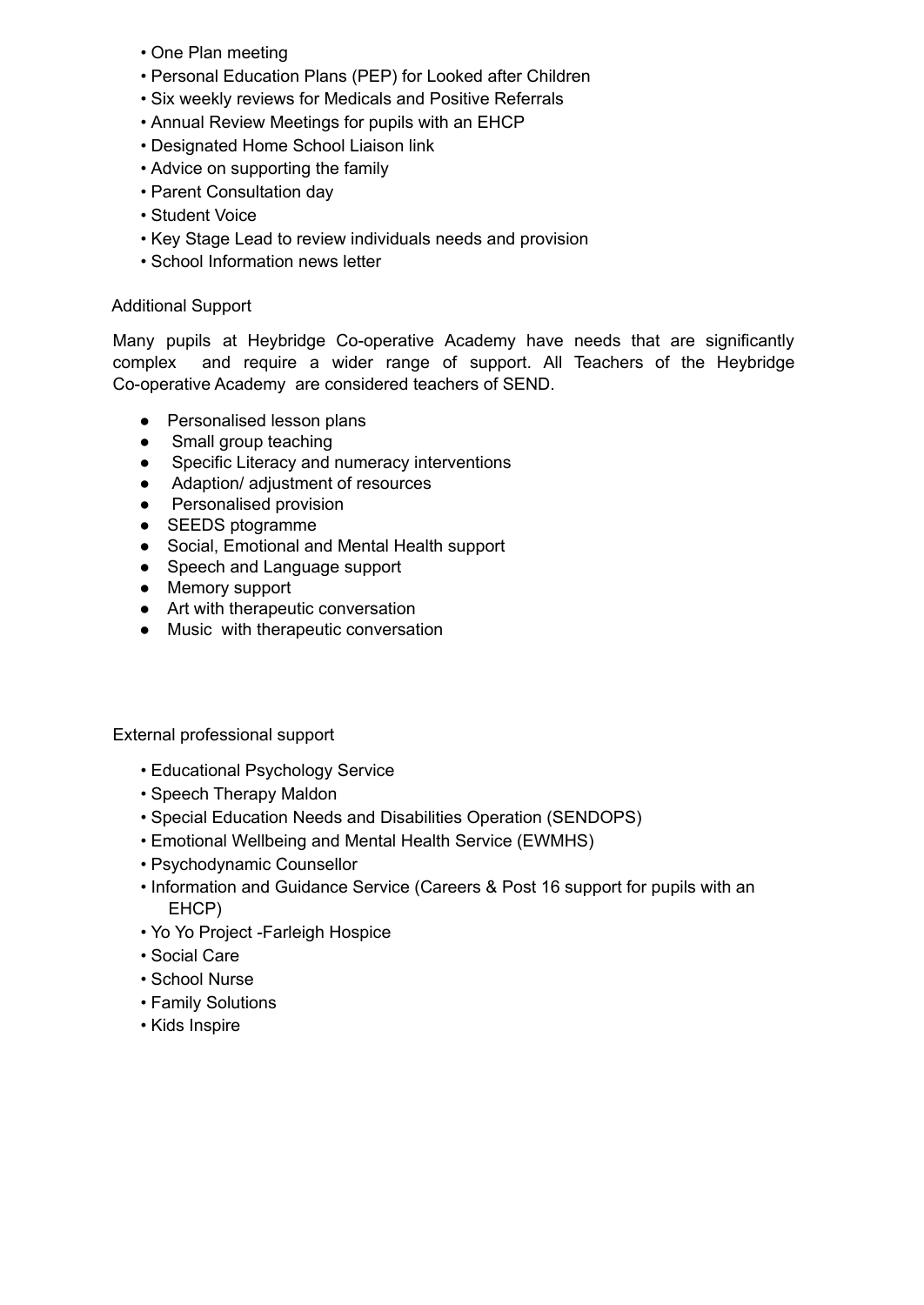- One Plan meeting
- Personal Education Plans (PEP) for Looked after Children
- Six weekly reviews for Medicals and Positive Referrals
- Annual Review Meetings for pupils with an EHCP
- Designated Home School Liaison link
- Advice on supporting the family
- Parent Consultation day
- Student Voice
- Key Stage Lead to review individuals needs and provision
- School Information news letter

## Additional Support

Many pupils at Heybridge Co-operative Academy have needs that are significantly complex and require a wider range of support. All Teachers of the Heybridge Co-operative Academy are considered teachers of SEND.

- Personalised lesson plans
- Small group teaching
- Specific Literacy and numeracy interventions
- Adaption/ adjustment of resources
- Personalised provision
- SEEDS ptogramme
- Social, Emotional and Mental Health support
- Speech and Language support
- Memory support
- Art with therapeutic conversation
- Music with therapeutic conversation

External professional support

- Educational Psychology Service
- Speech Therapy Maldon
- Special Education Needs and Disabilities Operation (SENDOPS)
- Emotional Wellbeing and Mental Health Service (EWMHS)
- Psychodynamic Counsellor
- Information and Guidance Service (Careers & Post 16 support for pupils with an EHCP)
- Yo Yo Project -Farleigh Hospice
- Social Care
- School Nurse
- Family Solutions
- Kids Inspire